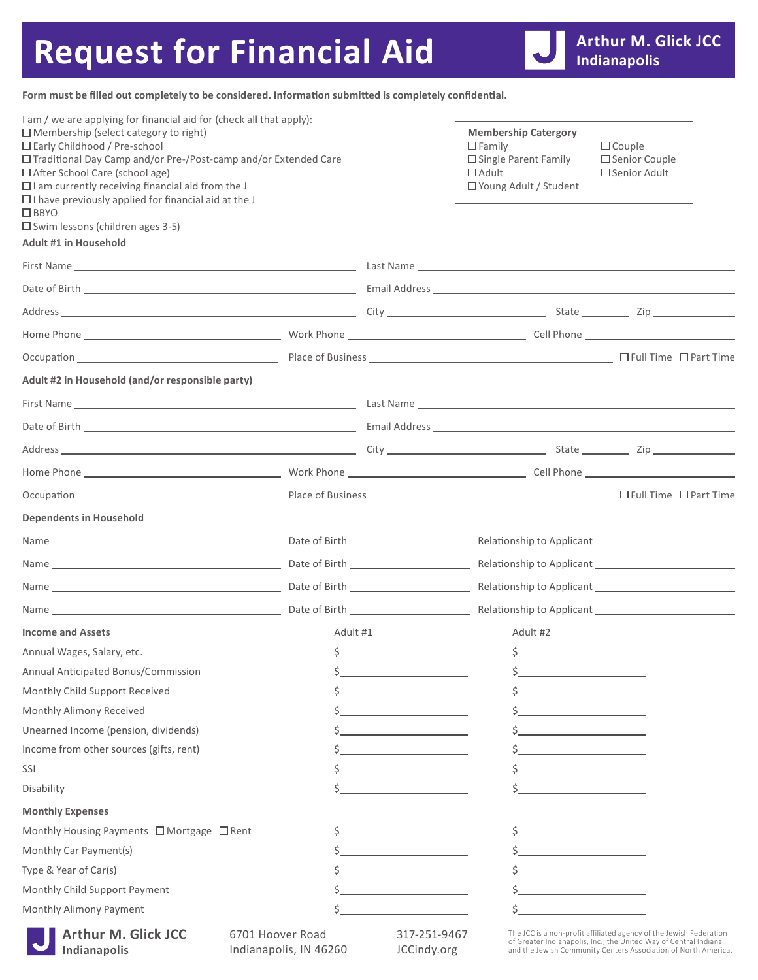## Request for Financial Aid

**Form must be filled out completely to be considered. Information submitted is completely confidential.**

| I am / we are applying for financial aid for (check all that apply):<br>$\Box$ Membership (select category to right)<br>$\Box$ Early Childhood / Pre-school<br>□ Traditional Day Camp and/or Pre-/Post-camp and/or Extended Care<br>□ After School Care (school age)<br>$\Box$ I am currently receiving financial aid from the J<br>$\Box$ I have previously applied for financial aid at the J<br>$\Box$ BBYO<br>$\square$ Swim lessons (children ages 3-5)<br>Adult #1 in Household |                                            |                             | <b>Membership Catergory</b><br>$\square$ Family<br>$\Box$ Single Parent Family<br>$\Box$ Adult<br>$\Box$ Young Adult / Student                                                                           | $\Box$ Couple<br>□ Senior Couple<br>□ Senior Adult |  |
|---------------------------------------------------------------------------------------------------------------------------------------------------------------------------------------------------------------------------------------------------------------------------------------------------------------------------------------------------------------------------------------------------------------------------------------------------------------------------------------|--------------------------------------------|-----------------------------|----------------------------------------------------------------------------------------------------------------------------------------------------------------------------------------------------------|----------------------------------------------------|--|
|                                                                                                                                                                                                                                                                                                                                                                                                                                                                                       |                                            |                             |                                                                                                                                                                                                          |                                                    |  |
|                                                                                                                                                                                                                                                                                                                                                                                                                                                                                       |                                            |                             |                                                                                                                                                                                                          |                                                    |  |
|                                                                                                                                                                                                                                                                                                                                                                                                                                                                                       |                                            |                             |                                                                                                                                                                                                          |                                                    |  |
|                                                                                                                                                                                                                                                                                                                                                                                                                                                                                       |                                            |                             |                                                                                                                                                                                                          |                                                    |  |
|                                                                                                                                                                                                                                                                                                                                                                                                                                                                                       |                                            |                             |                                                                                                                                                                                                          |                                                    |  |
| Adult #2 in Household (and/or responsible party)                                                                                                                                                                                                                                                                                                                                                                                                                                      |                                            |                             |                                                                                                                                                                                                          |                                                    |  |
|                                                                                                                                                                                                                                                                                                                                                                                                                                                                                       |                                            |                             |                                                                                                                                                                                                          |                                                    |  |
|                                                                                                                                                                                                                                                                                                                                                                                                                                                                                       |                                            |                             |                                                                                                                                                                                                          |                                                    |  |
|                                                                                                                                                                                                                                                                                                                                                                                                                                                                                       |                                            |                             |                                                                                                                                                                                                          |                                                    |  |
|                                                                                                                                                                                                                                                                                                                                                                                                                                                                                       |                                            |                             |                                                                                                                                                                                                          |                                                    |  |
|                                                                                                                                                                                                                                                                                                                                                                                                                                                                                       |                                            |                             |                                                                                                                                                                                                          |                                                    |  |
| Occupation Communication Communication Communication Communication Communication Communication Communication Communication Communication Communication Communication Communication Communication Communication Communication C                                                                                                                                                                                                                                                        |                                            |                             |                                                                                                                                                                                                          |                                                    |  |
| <b>Dependents in Household</b>                                                                                                                                                                                                                                                                                                                                                                                                                                                        |                                            |                             |                                                                                                                                                                                                          |                                                    |  |
|                                                                                                                                                                                                                                                                                                                                                                                                                                                                                       |                                            |                             |                                                                                                                                                                                                          |                                                    |  |
|                                                                                                                                                                                                                                                                                                                                                                                                                                                                                       |                                            |                             |                                                                                                                                                                                                          |                                                    |  |
|                                                                                                                                                                                                                                                                                                                                                                                                                                                                                       |                                            |                             |                                                                                                                                                                                                          |                                                    |  |
|                                                                                                                                                                                                                                                                                                                                                                                                                                                                                       |                                            |                             |                                                                                                                                                                                                          |                                                    |  |
| Income and Assets                                                                                                                                                                                                                                                                                                                                                                                                                                                                     | Adult #1                                   |                             | Adult #2                                                                                                                                                                                                 |                                                    |  |
| Annual Wages, Salary, etc.                                                                                                                                                                                                                                                                                                                                                                                                                                                            |                                            | $\mathsf{S}$                | $\frac{1}{2}$                                                                                                                                                                                            |                                                    |  |
| Annual Anticipated Bonus/Commission                                                                                                                                                                                                                                                                                                                                                                                                                                                   |                                            |                             |                                                                                                                                                                                                          |                                                    |  |
| Monthly Child Support Received                                                                                                                                                                                                                                                                                                                                                                                                                                                        |                                            |                             |                                                                                                                                                                                                          |                                                    |  |
| Monthly Alimony Received                                                                                                                                                                                                                                                                                                                                                                                                                                                              |                                            |                             |                                                                                                                                                                                                          |                                                    |  |
| Unearned Income (pension, dividends)                                                                                                                                                                                                                                                                                                                                                                                                                                                  |                                            |                             |                                                                                                                                                                                                          |                                                    |  |
| Income from other sources (gifts, rent)                                                                                                                                                                                                                                                                                                                                                                                                                                               |                                            |                             |                                                                                                                                                                                                          |                                                    |  |
| SSI                                                                                                                                                                                                                                                                                                                                                                                                                                                                                   |                                            |                             |                                                                                                                                                                                                          |                                                    |  |
| Disability                                                                                                                                                                                                                                                                                                                                                                                                                                                                            |                                            |                             |                                                                                                                                                                                                          |                                                    |  |
| <b>Monthly Expenses</b>                                                                                                                                                                                                                                                                                                                                                                                                                                                               |                                            |                             |                                                                                                                                                                                                          |                                                    |  |
| Monthly Housing Payments □ Mortgage □ Rent                                                                                                                                                                                                                                                                                                                                                                                                                                            |                                            |                             |                                                                                                                                                                                                          |                                                    |  |
| Monthly Car Payment(s)                                                                                                                                                                                                                                                                                                                                                                                                                                                                |                                            |                             |                                                                                                                                                                                                          |                                                    |  |
| Type & Year of Car(s)                                                                                                                                                                                                                                                                                                                                                                                                                                                                 |                                            |                             |                                                                                                                                                                                                          |                                                    |  |
| Monthly Child Support Payment                                                                                                                                                                                                                                                                                                                                                                                                                                                         |                                            |                             |                                                                                                                                                                                                          |                                                    |  |
| Monthly Alimony Payment                                                                                                                                                                                                                                                                                                                                                                                                                                                               |                                            |                             |                                                                                                                                                                                                          |                                                    |  |
| <b>Arthur M. Glick JCC</b><br>Indianapolis                                                                                                                                                                                                                                                                                                                                                                                                                                            | 6701 Hoover Road<br>Indianapolis, IN 46260 | 317-251-9467<br>JCCindy.org | The JCC is a non-profit affiliated agency of the Jewish Federation<br>of Greater Indianapolis, Inc., the United Way of Central Indiana<br>and the Jewish Community Centers Association of North America. |                                                    |  |